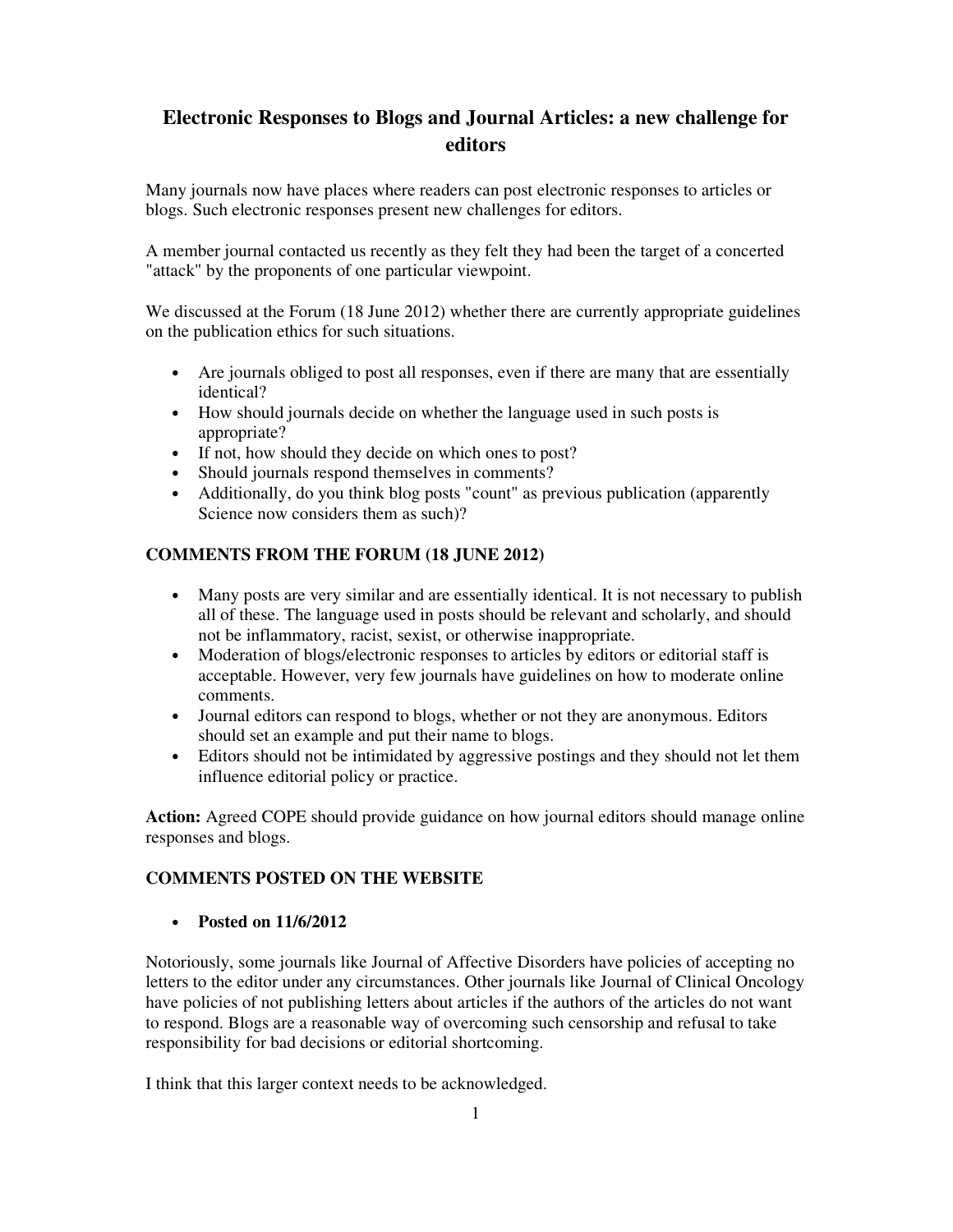# **Electronic Responses to Blogs and Journal Articles: a new challenge for editors**

Many journals now have places where readers can post electronic responses to articles or blogs. Such electronic responses present new challenges for editors.

A member journal contacted us recently as they felt they had been the target of a concerted "attack" by the proponents of one particular viewpoint.

We discussed at the Forum (18 June 2012) whether there are currently appropriate guidelines on the publication ethics for such situations.

- Are journals obliged to post all responses, even if there are many that are essentially identical?
- How should journals decide on whether the language used in such posts is appropriate?
- If not, how should they decide on which ones to post?
- Should journals respond themselves in comments?
- Additionally, do you think blog posts "count" as previous publication (apparently Science now considers them as such)?

### **COMMENTS FROM THE FORUM (18 JUNE 2012)**

- Many posts are very similar and are essentially identical. It is not necessary to publish all of these. The language used in posts should be relevant and scholarly, and should not be inflammatory, racist, sexist, or otherwise inappropriate.
- Moderation of blogs/electronic responses to articles by editors or editorial staff is acceptable. However, very few journals have guidelines on how to moderate online comments.
- Journal editors can respond to blogs, whether or not they are anonymous. Editors should set an example and put their name to blogs.
- Editors should not be intimidated by aggressive postings and they should not let them influence editorial policy or practice.

**Action:** Agreed COPE should provide guidance on how journal editors should manage online responses and blogs.

#### **COMMENTS POSTED ON THE WEBSITE**

• **Posted on 11/6/2012**

Notoriously, some journals like Journal of Affective Disorders have policies of accepting no letters to the editor under any circumstances. Other journals like Journal of Clinical Oncology have policies of not publishing letters about articles if the authors of the articles do not want to respond. Blogs are a reasonable way of overcoming such censorship and refusal to take responsibility for bad decisions or editorial shortcoming.

I think that this larger context needs to be acknowledged.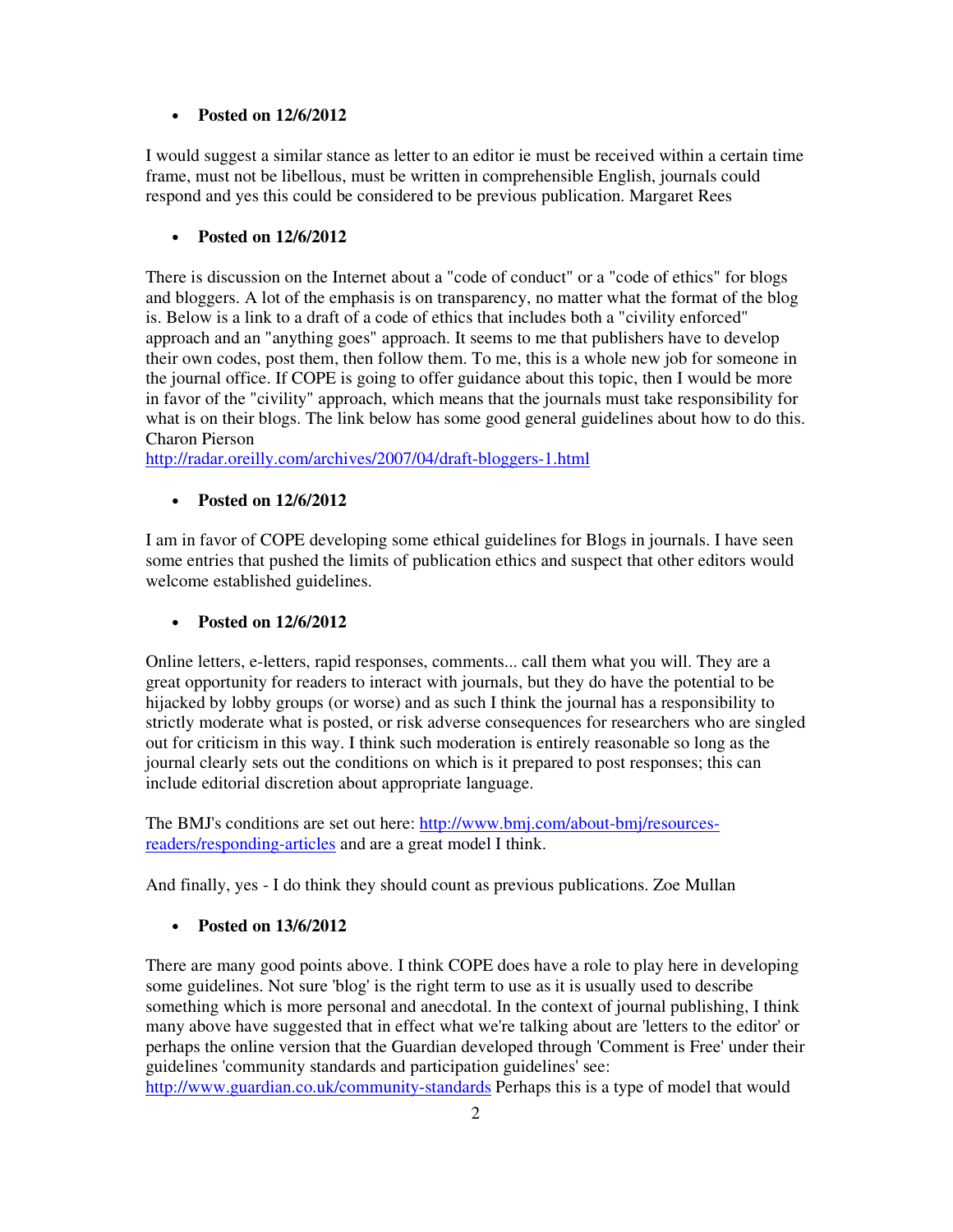### • **Posted on 12/6/2012**

I would suggest a similar stance as letter to an editor ie must be received within a certain time frame, must not be libellous, must be written in comprehensible English, journals could respond and yes this could be considered to be previous publication. Margaret Rees

### • **Posted on 12/6/2012**

There is discussion on the Internet about a "code of conduct" or a "code of ethics" for blogs and bloggers. A lot of the emphasis is on transparency, no matter what the format of the blog is. Below is a link to a draft of a code of ethics that includes both a "civility enforced" approach and an "anything goes" approach. It seems to me that publishers have to develop their own codes, post them, then follow them. To me, this is a whole new job for someone in the journal office. If COPE is going to offer guidance about this topic, then I would be more in favor of the "civility" approach, which means that the journals must take responsibility for what is on their blogs. The link below has some good general guidelines about how to do this. Charon Pierson

http://radar.oreilly.com/archives/2007/04/draft-bloggers-1.html

### • **Posted on 12/6/2012**

I am in favor of COPE developing some ethical guidelines for Blogs in journals. I have seen some entries that pushed the limits of publication ethics and suspect that other editors would welcome established guidelines.

### • **Posted on 12/6/2012**

Online letters, e-letters, rapid responses, comments... call them what you will. They are a great opportunity for readers to interact with journals, but they do have the potential to be hijacked by lobby groups (or worse) and as such I think the journal has a responsibility to strictly moderate what is posted, or risk adverse consequences for researchers who are singled out for criticism in this way. I think such moderation is entirely reasonable so long as the journal clearly sets out the conditions on which is it prepared to post responses; this can include editorial discretion about appropriate language.

The BMJ's conditions are set out here: http://www.bmj.com/about-bmj/resourcesreaders/responding-articles and are a great model I think.

And finally, yes - I do think they should count as previous publications. Zoe Mullan

## • **Posted on 13/6/2012**

There are many good points above. I think COPE does have a role to play here in developing some guidelines. Not sure 'blog' is the right term to use as it is usually used to describe something which is more personal and anecdotal. In the context of journal publishing, I think many above have suggested that in effect what we're talking about are 'letters to the editor' or perhaps the online version that the Guardian developed through 'Comment is Free' under their guidelines 'community standards and participation guidelines' see:

http://www.guardian.co.uk/community-standards Perhaps this is a type of model that would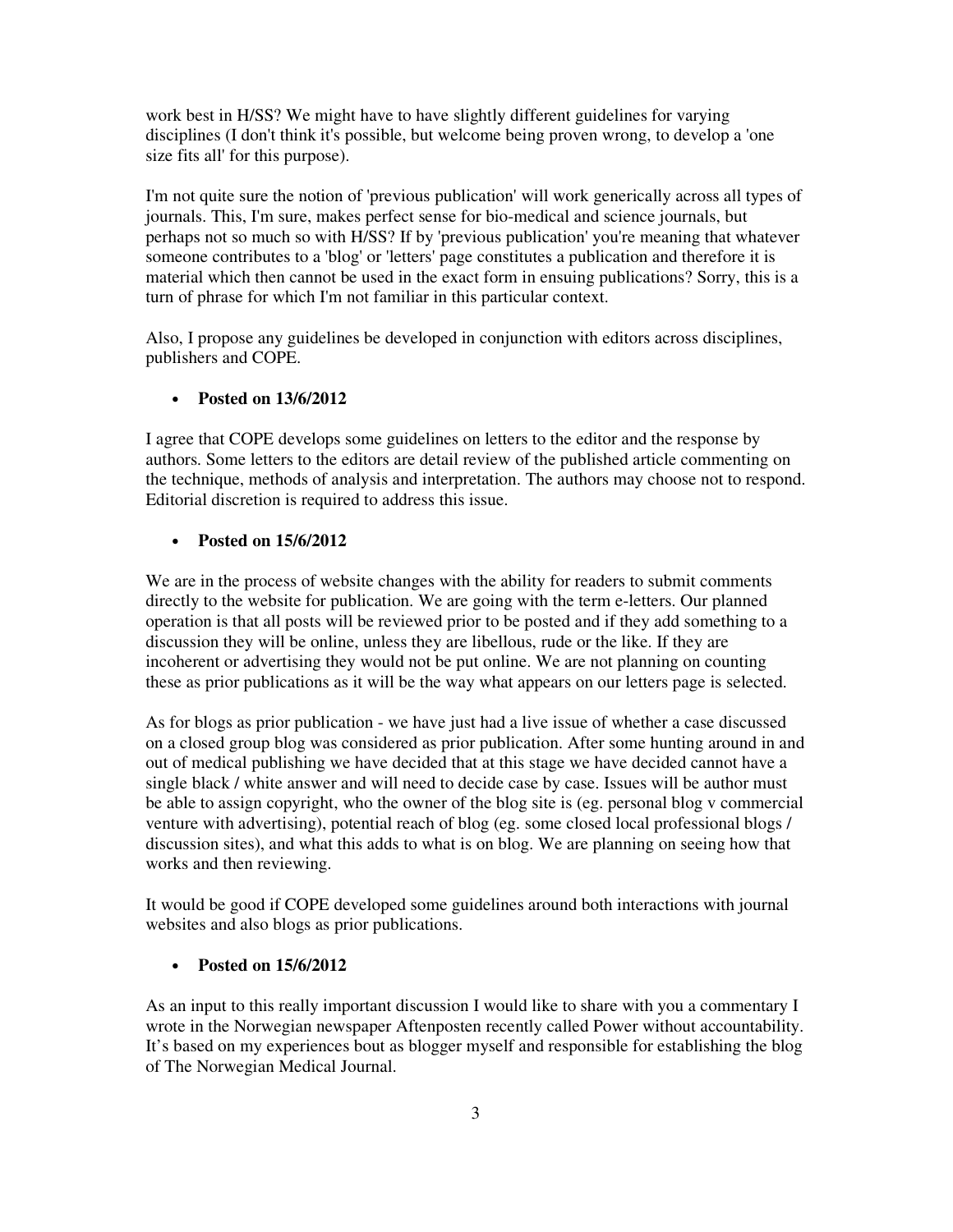work best in H/SS? We might have to have slightly different guidelines for varying disciplines (I don't think it's possible, but welcome being proven wrong, to develop a 'one size fits all' for this purpose).

I'm not quite sure the notion of 'previous publication' will work generically across all types of journals. This, I'm sure, makes perfect sense for bio-medical and science journals, but perhaps not so much so with H/SS? If by 'previous publication' you're meaning that whatever someone contributes to a 'blog' or 'letters' page constitutes a publication and therefore it is material which then cannot be used in the exact form in ensuing publications? Sorry, this is a turn of phrase for which I'm not familiar in this particular context.

Also, I propose any guidelines be developed in conjunction with editors across disciplines, publishers and COPE.

### • **Posted on 13/6/2012**

I agree that COPE develops some guidelines on letters to the editor and the response by authors. Some letters to the editors are detail review of the published article commenting on the technique, methods of analysis and interpretation. The authors may choose not to respond. Editorial discretion is required to address this issue.

#### • **Posted on 15/6/2012**

We are in the process of website changes with the ability for readers to submit comments directly to the website for publication. We are going with the term e-letters. Our planned operation is that all posts will be reviewed prior to be posted and if they add something to a discussion they will be online, unless they are libellous, rude or the like. If they are incoherent or advertising they would not be put online. We are not planning on counting these as prior publications as it will be the way what appears on our letters page is selected.

As for blogs as prior publication - we have just had a live issue of whether a case discussed on a closed group blog was considered as prior publication. After some hunting around in and out of medical publishing we have decided that at this stage we have decided cannot have a single black / white answer and will need to decide case by case. Issues will be author must be able to assign copyright, who the owner of the blog site is (eg. personal blog v commercial venture with advertising), potential reach of blog (eg. some closed local professional blogs / discussion sites), and what this adds to what is on blog. We are planning on seeing how that works and then reviewing.

It would be good if COPE developed some guidelines around both interactions with journal websites and also blogs as prior publications.

### • **Posted on 15/6/2012**

As an input to this really important discussion I would like to share with you a commentary I wrote in the Norwegian newspaper Aftenposten recently called Power without accountability. It's based on my experiences bout as blogger myself and responsible for establishing the blog of The Norwegian Medical Journal.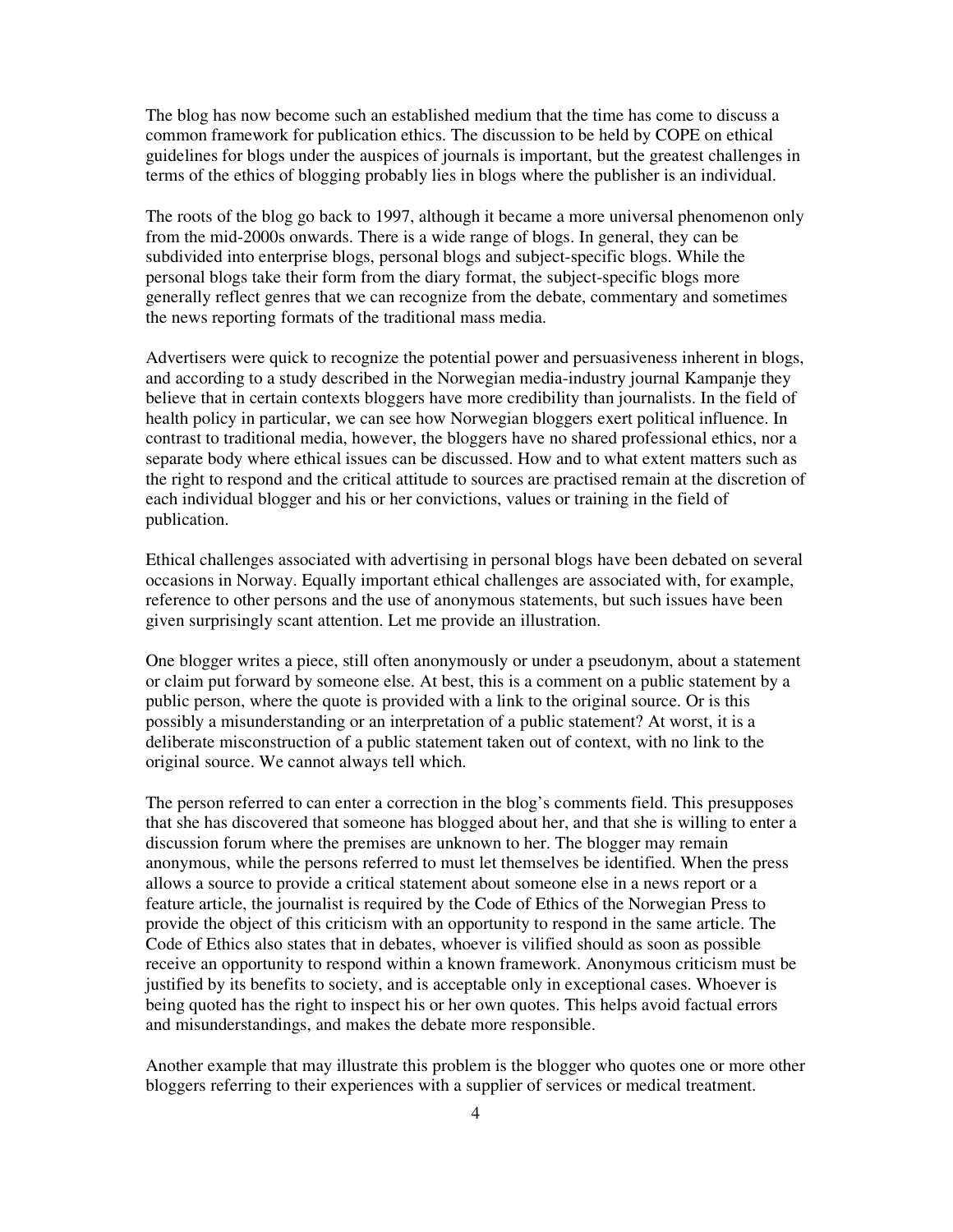The blog has now become such an established medium that the time has come to discuss a common framework for publication ethics. The discussion to be held by COPE on ethical guidelines for blogs under the auspices of journals is important, but the greatest challenges in terms of the ethics of blogging probably lies in blogs where the publisher is an individual.

The roots of the blog go back to 1997, although it became a more universal phenomenon only from the mid-2000s onwards. There is a wide range of blogs. In general, they can be subdivided into enterprise blogs, personal blogs and subject-specific blogs. While the personal blogs take their form from the diary format, the subject-specific blogs more generally reflect genres that we can recognize from the debate, commentary and sometimes the news reporting formats of the traditional mass media.

Advertisers were quick to recognize the potential power and persuasiveness inherent in blogs, and according to a study described in the Norwegian media-industry journal Kampanje they believe that in certain contexts bloggers have more credibility than journalists. In the field of health policy in particular, we can see how Norwegian bloggers exert political influence. In contrast to traditional media, however, the bloggers have no shared professional ethics, nor a separate body where ethical issues can be discussed. How and to what extent matters such as the right to respond and the critical attitude to sources are practised remain at the discretion of each individual blogger and his or her convictions, values or training in the field of publication.

Ethical challenges associated with advertising in personal blogs have been debated on several occasions in Norway. Equally important ethical challenges are associated with, for example, reference to other persons and the use of anonymous statements, but such issues have been given surprisingly scant attention. Let me provide an illustration.

One blogger writes a piece, still often anonymously or under a pseudonym, about a statement or claim put forward by someone else. At best, this is a comment on a public statement by a public person, where the quote is provided with a link to the original source. Or is this possibly a misunderstanding or an interpretation of a public statement? At worst, it is a deliberate misconstruction of a public statement taken out of context, with no link to the original source. We cannot always tell which.

The person referred to can enter a correction in the blog's comments field. This presupposes that she has discovered that someone has blogged about her, and that she is willing to enter a discussion forum where the premises are unknown to her. The blogger may remain anonymous, while the persons referred to must let themselves be identified. When the press allows a source to provide a critical statement about someone else in a news report or a feature article, the journalist is required by the Code of Ethics of the Norwegian Press to provide the object of this criticism with an opportunity to respond in the same article. The Code of Ethics also states that in debates, whoever is vilified should as soon as possible receive an opportunity to respond within a known framework. Anonymous criticism must be justified by its benefits to society, and is acceptable only in exceptional cases. Whoever is being quoted has the right to inspect his or her own quotes. This helps avoid factual errors and misunderstandings, and makes the debate more responsible.

Another example that may illustrate this problem is the blogger who quotes one or more other bloggers referring to their experiences with a supplier of services or medical treatment.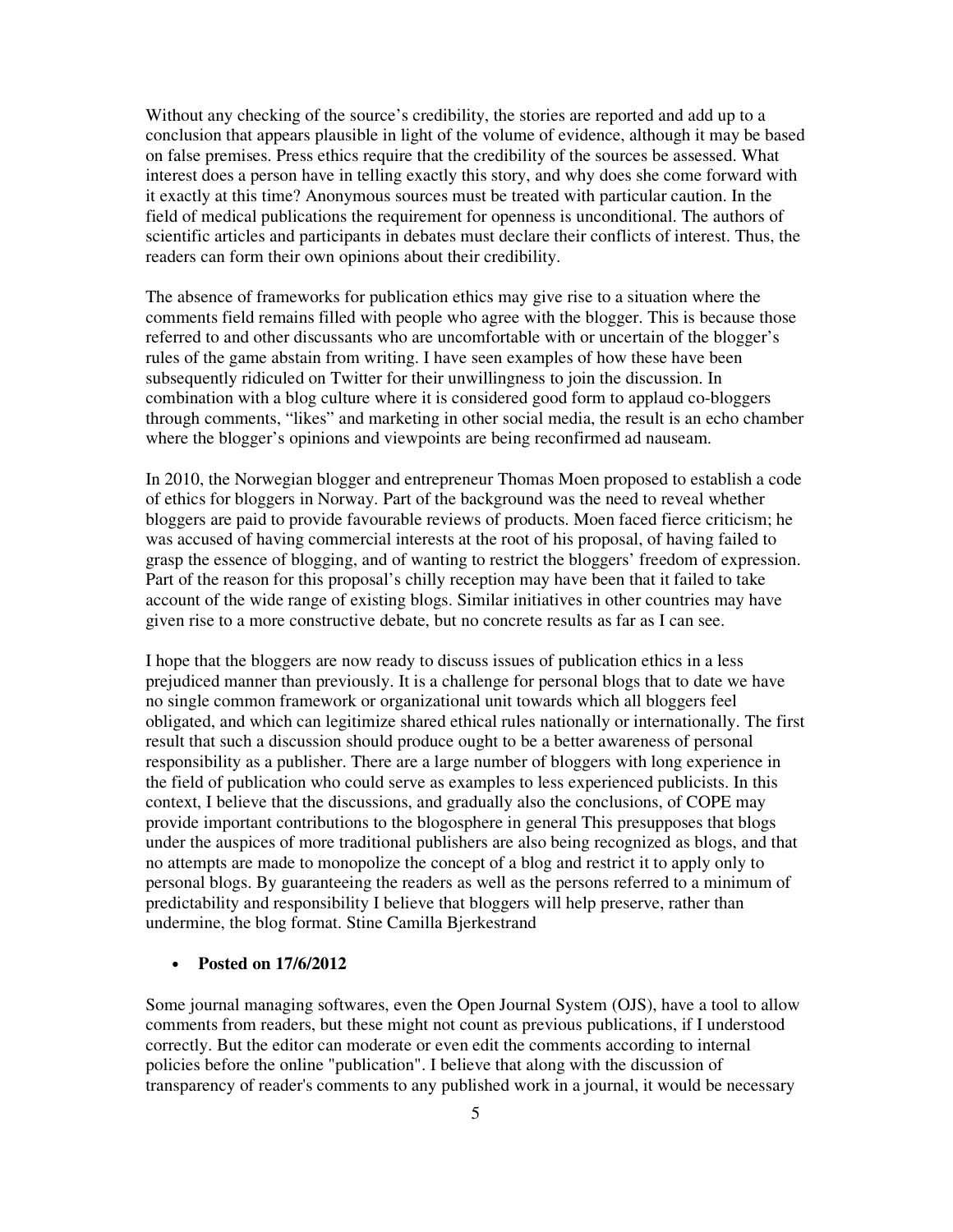Without any checking of the source's credibility, the stories are reported and add up to a conclusion that appears plausible in light of the volume of evidence, although it may be based on false premises. Press ethics require that the credibility of the sources be assessed. What interest does a person have in telling exactly this story, and why does she come forward with it exactly at this time? Anonymous sources must be treated with particular caution. In the field of medical publications the requirement for openness is unconditional. The authors of scientific articles and participants in debates must declare their conflicts of interest. Thus, the readers can form their own opinions about their credibility.

The absence of frameworks for publication ethics may give rise to a situation where the comments field remains filled with people who agree with the blogger. This is because those referred to and other discussants who are uncomfortable with or uncertain of the blogger's rules of the game abstain from writing. I have seen examples of how these have been subsequently ridiculed on Twitter for their unwillingness to join the discussion. In combination with a blog culture where it is considered good form to applaud co-bloggers through comments, "likes" and marketing in other social media, the result is an echo chamber where the blogger's opinions and viewpoints are being reconfirmed ad nauseam.

In 2010, the Norwegian blogger and entrepreneur Thomas Moen proposed to establish a code of ethics for bloggers in Norway. Part of the background was the need to reveal whether bloggers are paid to provide favourable reviews of products. Moen faced fierce criticism; he was accused of having commercial interests at the root of his proposal, of having failed to grasp the essence of blogging, and of wanting to restrict the bloggers' freedom of expression. Part of the reason for this proposal's chilly reception may have been that it failed to take account of the wide range of existing blogs. Similar initiatives in other countries may have given rise to a more constructive debate, but no concrete results as far as I can see.

I hope that the bloggers are now ready to discuss issues of publication ethics in a less prejudiced manner than previously. It is a challenge for personal blogs that to date we have no single common framework or organizational unit towards which all bloggers feel obligated, and which can legitimize shared ethical rules nationally or internationally. The first result that such a discussion should produce ought to be a better awareness of personal responsibility as a publisher. There are a large number of bloggers with long experience in the field of publication who could serve as examples to less experienced publicists. In this context, I believe that the discussions, and gradually also the conclusions, of COPE may provide important contributions to the blogosphere in general This presupposes that blogs under the auspices of more traditional publishers are also being recognized as blogs, and that no attempts are made to monopolize the concept of a blog and restrict it to apply only to personal blogs. By guaranteeing the readers as well as the persons referred to a minimum of predictability and responsibility I believe that bloggers will help preserve, rather than undermine, the blog format. Stine Camilla Bjerkestrand

#### • **Posted on 17/6/2012**

Some journal managing softwares, even the Open Journal System (OJS), have a tool to allow comments from readers, but these might not count as previous publications, if I understood correctly. But the editor can moderate or even edit the comments according to internal policies before the online "publication". I believe that along with the discussion of transparency of reader's comments to any published work in a journal, it would be necessary